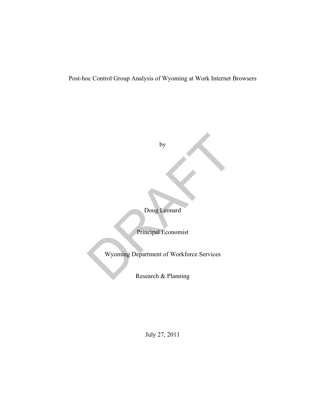Post-hoc Control Group Analysis of Wyoming at Work Internet Browsers

by

by<br>
Doug Leonard<br>
Principal Economist<br>
Wyoming Department of Workforce Services<br>
Research & Planning

Doug Leonard

Principal Economist

Wyoming Department of Workforce Services

Research & Planning

July 27, 2011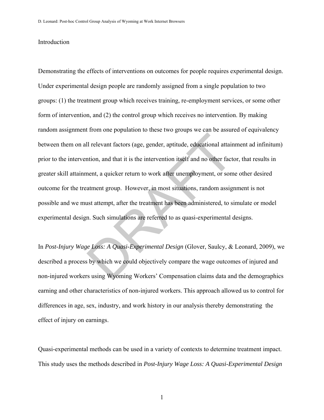### Introduction

Demonstrating the effects of interventions on outcomes for people requires experimental design. Under experimental design people are randomly assigned from a single population to two groups: (1) the treatment group which receives training, re-employment services, or some other form of intervention, and (2) the control group which receives no intervention. By making random assignment from one population to these two groups we can be assured of equivalency between them on all relevant factors (age, gender, aptitude, educational attainment ad infinitum) prior to the intervention, and that it is the intervention itself and no other factor, that results in greater skill attainment, a quicker return to work after unemployment, or some other desired outcome for the treatment group. However, in most situations, random assignment is not possible and we must attempt, after the treatment has been administered, to simulate or model experimental design. Such simulations are referred to as quasi-experimental designs. Il relevant factors (age, gender, aptitude, educational attain<br>thion, and that it is the intervention itself and no other fact<br>nent, a quicker return to work after unemployment, or som<br>atment group. However, in most situat

In *Post-Injury Wage Loss: A Quasi-Experimental Design* (Glover, Saulcy, & Leonard, 2009), we described a process by which we could objectively compare the wage outcomes of injured and non-injured workers using Wyoming Workers' Compensation claims data and the demographics earning and other characteristics of non-injured workers. This approach allowed us to control for differences in age, sex, industry, and work history in our analysis thereby demonstrating the effect of injury on earnings.

Quasi-experimental methods can be used in a variety of contexts to determine treatment impact. This study uses the methods described in *Post-Injury Wage Loss: A Quasi-Experimental Design*

1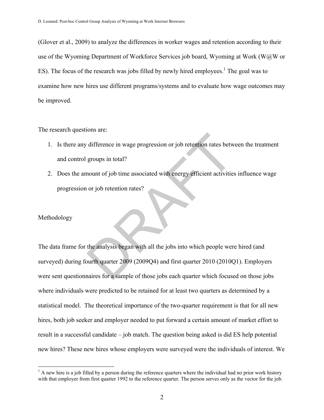(Glover et al., 2009) to analyze the differences in worker wages and retention according to their use of the Wyoming Department of Workforce Services job board, Wyoming at Work (W@W or ES). The focus of the research was jobs filled by newly hired employees.<sup>1</sup> The goal was to examine how new hires use different programs/systems and to evaluate how wage outcomes may be improved.

The research questions are:

- 1. Is there any difference in wage progression or job retention rates between the treatment and control groups in total?
- 2. Does the amount of job time associated with energy efficient activities influence wage progression or job retention rates?

#### Methodology

1

The data frame for the analysis began with all the jobs into which people were hired (and surveyed) during fourth quarter 2009 (2009Q4) and first quarter 2010 (2010Q1). Employers were sent questionnaires for a sample of those jobs each quarter which focused on those jobs where individuals were predicted to be retained for at least two quarters as determined by a statistical model. The theoretical importance of the two-quarter requirement is that for all new hires, both job seeker and employer needed to put forward a certain amount of market effort to result in a successful candidate – job match. The question being asked is did ES help potential new hires? These new hires whose employers were surveyed were the individuals of interest. We difference in wage progression or job retention rates betw<br>groups in total?<br>nount of job time associated with energy efficient activitie<br>or job retention rates?<br>the analysis began with all the jobs into which people wer<br>pu

 $<sup>1</sup>$  A new hire is a job filled by a person during the reference quarters where the individual had no prior work history</sup> with that employer from first quarter 1992 to the reference quarter. The person serves only as the vector for the job.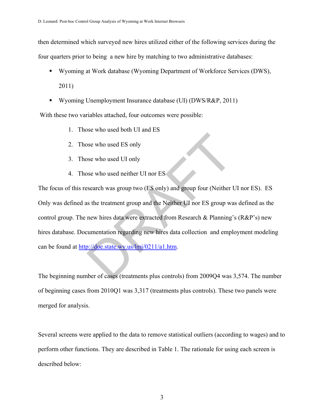then determined which surveyed new hires utilized either of the following services during the four quarters prior to being a new hire by matching to two administrative databases:

- Wyoming at Work database (Wyoming Department of Workforce Services (DWS), 2011)
- Wyoming Unemployment Insurance database (UI) (DWS/R&P, 2011)

With these two variables attached, four outcomes were possible:

- 1. Those who used both UI and ES
- 2. Those who used ES only
- 3. Those who used UI only
- 4. Those who used neither UI nor ES

The focus of this research was group two (ES only) and group four (Neither UI nor ES). ES Only was defined as the treatment group and the Neither UI nor ES group was defined as the control group. The new hires data were extracted from Research & Planning's (R&P's) new hires database. Documentation regarding new hires data collection and employment modeling can be found at http://doe.state.wy.us/lmi/0211/a1.htm. by the used ES only<br>see who used UI only<br>see who used neither UI nor ES<br>search was group two (ES only) and group four (Neither U<br>is the treatment group and the Neither UI nor ES group wa<br>new hires data were extracted from

The beginning number of cases (treatments plus controls) from 2009Q4 was 3,574. The number of beginning cases from 2010Q1 was 3,317 (treatments plus controls). These two panels were merged for analysis.

Several screens were applied to the data to remove statistical outliers (according to wages) and to perform other functions. They are described in Table 1. The rationale for using each screen is described below: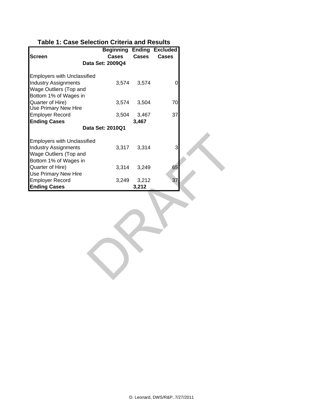# **Table 1: Case Selection Criteria and Results**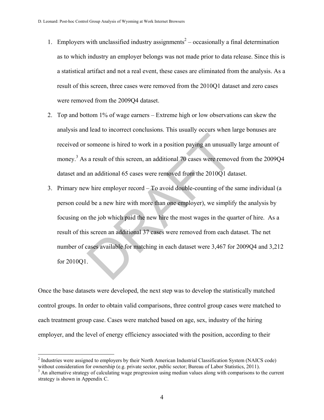- 1. Employers with unclassified industry assignments<sup>2</sup> occasionally a final determination as to which industry an employer belongs was not made prior to data release. Since this is a statistical artifact and not a real event, these cases are eliminated from the analysis. As a result of this screen, three cases were removed from the 2010Q1 dataset and zero cases were removed from the 2009Q4 dataset.
- 2. Top and bottom 1% of wage earners Extreme high or low observations can skew the analysis and lead to incorrect conclusions. This usually occurs when large bonuses are received or someone is hired to work in a position paying an unusually large amount of money.<sup>3</sup> As a result of this screen, an additional 70 cases were removed from the 2009Q4 dataset and an additional 65 cases were removed from the 2010Q1 dataset.
- 3. Primary new hire employer record To avoid double-counting of the same individual (a person could be a new hire with more than one employer), we simplify the analysis by focusing on the job which paid the new hire the most wages in the quarter of hire. As a result of this screen an additional 37 cases were removed from each dataset. The net number of cases available for matching in each dataset were 3,467 for 2009Q4 and 3,212 for 2010Q1. someone is hired to work in a position paying an unusuall<br>a result of this screen, an additional 70 cases were remove<br>an additional 65 cases were removed from the 2010Q1 da<br>w hire employer record  $-$  To avoid double-count

Once the base datasets were developed, the next step was to develop the statistically matched control groups. In order to obtain valid comparisons, three control group cases were matched to each treatment group case. Cases were matched based on age, sex, industry of the hiring employer, and the level of energy efficiency associated with the position, according to their

 $\overline{a}$ 

 $2$  Industries were assigned to employers by their North American Industrial Classification System (NAICS code) without consideration for ownership (e.g. private sector, public sector; Bureau of Labor Statistics, 2011).

<sup>&</sup>lt;sup>3</sup> An alternative strategy of calculating wage progression using median values along with comparisons to the current strategy is shown in Appendix C.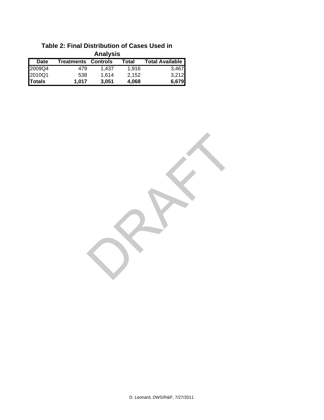| <b>Analysis</b> |            |                 |       |                        |  |  |  |  |  |  |  |
|-----------------|------------|-----------------|-------|------------------------|--|--|--|--|--|--|--|
| <b>Date</b>     | Treatments | <b>Controls</b> | Total | <b>Total Available</b> |  |  |  |  |  |  |  |
| 2009Q4          | 479        | 1.437           | 1.916 | 3,467                  |  |  |  |  |  |  |  |
| 2010Q1          | 538        | 1.614           | 2,152 | 3,212                  |  |  |  |  |  |  |  |
| <b>Totals</b>   | 1.017      | 3,051           | 4,068 | 6,679                  |  |  |  |  |  |  |  |

## **Table 2: Final Distribution of Cases Used in Analysis**

RAFT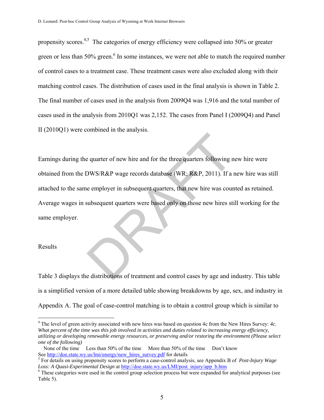propensity scores.4,5 The categories of energy efficiency were collapsed into 50% or greater green or less than 50% green.<sup>6</sup> In some instances, we were not able to match the required number of control cases to a treatment case. These treatment cases were also excluded along with their matching control cases. The distribution of cases used in the final analysis is shown in Table 2. The final number of cases used in the analysis from 2009Q4 was 1,916 and the total number of cases used in the analysis from 2010Q1 was 2,152. The cases from Panel I (2009Q4) and Panel II (2010Q1) were combined in the analysis.

Earnings during the quarter of new hire and for the three quarters following new hire were obtained from the DWS/R&P wage records database (WR; R&P, 2011). If a new hire was still attached to the same employer in subsequent quarters, that new hire was counted as retained. Average wages in subsequent quarters were based only on those new hires still working for the same employer. e quarter of new hire and for the three quarters following n<br>DWS/R&P wage records database (WR; R&P, 2011). If a is<br>e employer in subsequent quarters, that new hire was cours<br>ubsequent quarters were based only on those new

#### Results

 $\overline{a}$ 

Table 3 displays the distributions of treatment and control cases by age and industry. This table is a simplified version of a more detailed table showing breakdowns by age, sex, and industry in Appendix A. The goal of case-control matching is to obtain a control group which is similar to

 $4$  The level of green activity associated with new hires was based on question 4c from the New Hires Survey: 4c. *What percent of the time was this job involved in activities and duties related to increasing energy efficiency, utilizing or developing renewable energy resources, or preserving and/or restoring the environment (Please select one of the following)* 

None of the time Less than 50% of the time More than 50% of the time Don't know See http://doe.state.wy.us/lmi/energy/new\_hires\_survey.pdf for details

For details on using propensity scores to perform a case-control analysis, see Appendix B of *Post-Injury Wage Loss: A Quasi-Experimental Design* at http://doe.state.wy.us/LMI/post\_injury/app\_b.htm 6

These categories were used in the control group selection process but were expanded for analytical purposes (see Table 5).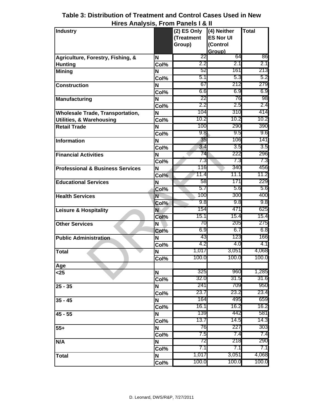| <b>Industry</b>                             |                           | $(2)$ ES Only | (4) Neither      | <b>Total</b> |
|---------------------------------------------|---------------------------|---------------|------------------|--------------|
|                                             |                           | (Treatment    | <b>ES Nor UI</b> |              |
|                                             |                           | Group)        | (Control         |              |
|                                             |                           |               | Group)           |              |
| Agriculture, Forestry, Fishing, &           | N                         | 22            | 64               | 86           |
| <b>Hunting</b>                              | Col%                      | 2.2           | 2.1              | 2.1          |
| <b>Mining</b>                               | N                         | 52            | 161              | 213          |
|                                             | $\overline{\text{Col}}\%$ | 5.1           | 5.3              | 5.2          |
| <b>Construction</b>                         | N                         | 67            | 212              | 279          |
|                                             | Col%                      | 6.6           | 6.9              | 6.9          |
| <b>Manufacturing</b>                        | N                         | 22            | 76               | 98           |
|                                             | Col%                      | 2.2           | 2.5              | 2.4          |
| <b>Wholesale Trade, Transportation,</b>     | N                         | 104           | 310              | 414          |
| <b>Utilities, &amp; Warehousing</b>         | Col%                      | 10.2          | 10.2             | 10.2         |
| <b>Retail Trade</b>                         | N                         | 100           | 290              | 390          |
|                                             | $\overline{\text{Col%}}$  | 9.8           | 9.5              | 9.6          |
| <b>Information</b>                          | N                         | 35            | 106              | 141          |
|                                             | Col%                      | 3.4           | 3.5              | 3.5          |
| <b>Financial Activities</b>                 | N                         | 74            | 222              | 296          |
|                                             | Col%                      | 7.3           | 7.3              | 7.3          |
| <b>Professional &amp; Business Services</b> | N                         | 116           | 340              | 456          |
|                                             | Col%                      | 11.4          | 11.1             | 11.2         |
| <b>Educational Services</b>                 | N                         | 58            | 171              | 229          |
|                                             | Col%                      | 5.7           | 5.6              | 5.6          |
| <b>Health Services</b>                      | N                         | 100           | 300              | 400          |
|                                             | Col%                      | 9.8           | 9.8              | 9.8          |
| <b>Leisure &amp; Hospitality</b>            | N                         | 154           | 471              | 625          |
|                                             | Col%                      | 15.1          | 15.4             | 15.4         |
| <b>Other Services</b>                       | N                         | 70            | 205              | 275          |
|                                             | Col%                      | 6.9           | 6.7              | 6.8          |
| <b>Public Administration</b>                | N                         | 43            | 123              | 166          |
|                                             | Col%                      | 4.2           | 4.0              | 4.1          |
| Total                                       | N                         | 1,017         | 3,051            | 4,068        |
|                                             | Col%                      | 100.0         | 100.0            | 100.0        |
|                                             |                           |               |                  |              |
| Age<br>$25$                                 | N                         | 325           | 960              | 1,285        |
|                                             | Col%                      | 32.0          | 31.5             | 31.6         |
|                                             | N                         | 241           | 709              | 950          |
| $25 - 35$                                   |                           | 23.7          | 23.2             | 23.4         |
|                                             | Col%                      | 164           | 495              | 659          |
| $35 - 45$                                   | N                         | 16.1          | 16.2             | 16.2         |
|                                             | Col%                      | 139           | 442              | 581          |
| $45 - 55$                                   | N                         |               |                  | 14.3         |
|                                             | Col%                      | 13.7          | 14.5             |              |
| $55+$                                       | N                         | 76            | 227              | 303          |
|                                             | Col%                      | 7.5           | 7.4              | 7.4          |
| N/A                                         | N                         | 72            | 218              | 290          |
|                                             | Col%                      | 7.1           | 7.1              | 7.1          |
| <b>Total</b>                                | N                         | 1,017         | 3,051            | 4,068        |
|                                             | Col%                      | 100.0         | 100.0            | 100.0        |

# **Table 3: Distribution of Treatment and Control Cases Used in New Hires Analysis, From Panels I & II**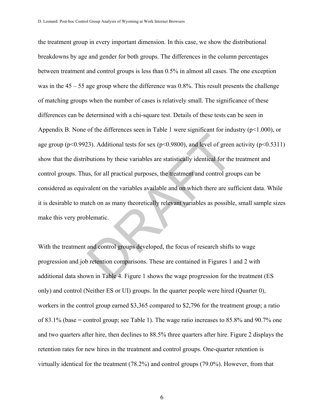the treatment group in every important dimension. In this case, we show the distributional breakdowns by age and gender for both groups. The differences in the column percentages between treatment and control groups is less than 0.5% in almost all cases. The one exception was in the 45 – 55 age group where the difference was 0.8%. This result presents the challenge of matching groups when the number of cases is relatively small. The significance of these differences can be determined with a chi-square test. Details of these tests can be seen in Appendix B. None of the differences seen in Table 1 were significant for industry (p<1.000), or age group ( $p<0.9923$ ). Additional tests for sex ( $p<0.9800$ ), and level of green activity ( $p<0.5311$ ) show that the distributions by these variables are statistically identical for the treatment and control groups. Thus, for all practical purposes, the treatment and control groups can be considered as equivalent on the variables available and on which there are sufficient data. While it is desirable to match on as many theoretically relevant variables as possible, small sample sizes make this very problematic. 23). Additional tests for sex ( $p<0.9800$ ), and level of green<br>butions by these variables are statistically identical for the<br>us, for all practical purposes, the treatment and control gro<br>valent on the variables available

With the treatment and control groups developed, the focus of research shifts to wage progression and job retention comparisons. These are contained in Figures 1 and 2 with additional data shown in Table 4. Figure 1 shows the wage progression for the treatment (ES only) and control (Neither ES or UI) groups. In the quarter people were hired (Quarter 0), workers in the control group earned \$3,365 compared to \$2,796 for the treatment group; a ratio of 83.1% (base = control group; see Table 1). The wage ratio increases to 85.8% and 90.7% one and two quarters after hire, then declines to 88.5% three quarters after hire. Figure 2 displays the retention rates for new hires in the treatment and control groups. One-quarter retention is virtually identical for the treatment (78.2%) and control groups (79.0%). However, from that

6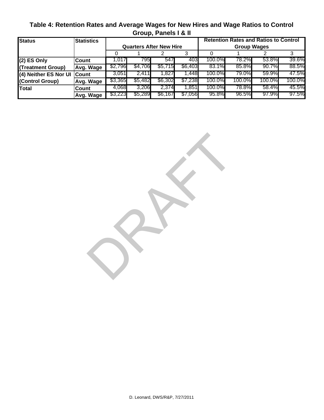| Table 4: Retention Rates and Average Wages for New Hires and Wage Ratios to Control |
|-------------------------------------------------------------------------------------|
| Group, Panels I & II                                                                |

| <b>Status</b>         | <b>Statistics</b> | <b>Retention Rates and Ratios to Control</b> |                                |         |         |                    |          |          |        |  |  |  |
|-----------------------|-------------------|----------------------------------------------|--------------------------------|---------|---------|--------------------|----------|----------|--------|--|--|--|
|                       |                   |                                              | <b>Quarters After New Hire</b> |         |         | <b>Group Wages</b> |          |          |        |  |  |  |
|                       |                   |                                              |                                |         |         |                    |          |          |        |  |  |  |
| $(2)$ ES Only         | Count             | l.017                                        | 7951                           | 547     | 403     | 100.0%             | 78.2%I   | 53.8%    | 39.6%  |  |  |  |
| (Treatment Group)     | Avg. Wage         | \$2,796                                      | \$4,706                        | \$5,715 | \$6,403 | $83.1\%$           | $85.8\%$ | $90.7\%$ | 88.5%  |  |  |  |
| (4) Neither ES Nor UI | <b>Count</b>      | 3,051                                        | 2.411                          | 1.827   | .448    | 100.0%             | 79.0%I   | 59.9%    | 47.5%  |  |  |  |
| (Control Group)       | Avg. Wage         | \$3,365                                      | \$5,482                        | \$6,302 | \$7,238 | 100.0%             | 100.0%   | 100.0%   | 100.0% |  |  |  |
| <b>Total</b>          | <b>Count</b>      | 4,068                                        | 3,206                          | 2,374   | 851,ا   | 100.0%             | 78.8%I   | 58.4%    | 45.5%  |  |  |  |
|                       | Avg. Wage         | \$3,223                                      | \$5,289                        | \$6,167 | \$7,056 | 95.8%              | 96.5%    | 97.9%    | 97.5%  |  |  |  |

RAFT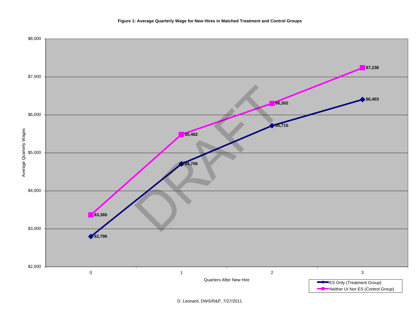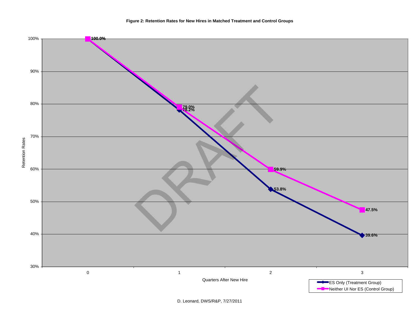

D. Leonard, DWS/R&P, 7/27/2011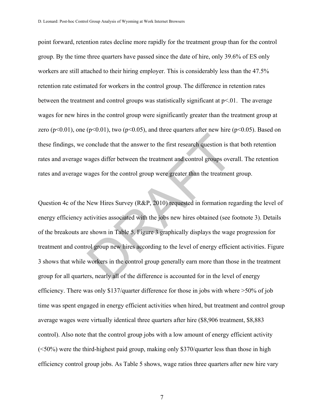point forward, retention rates decline more rapidly for the treatment group than for the control group. By the time three quarters have passed since the date of hire, only 39.6% of ES only workers are still attached to their hiring employer. This is considerably less than the 47.5% retention rate estimated for workers in the control group. The difference in retention rates between the treatment and control groups was statistically significant at  $p<01$ . The average wages for new hires in the control group were significantly greater than the treatment group at zero ( $p<0.01$ ), one ( $p<0.01$ ), two ( $p<0.05$ ), and three quarters after new hire ( $p<0.05$ ). Based on these findings, we conclude that the answer to the first research question is that both retention rates and average wages differ between the treatment and control groups overall. The retention rates and average wages for the control group were greater than the treatment group.

Question 4c of the New Hires Survey (R&P, 2010) requested in formation regarding the level of energy efficiency activities associated with the jobs new hires obtained (see footnote 3). Details of the breakouts are shown in Table 5. Figure 3 graphically displays the wage progression for treatment and control group new hires according to the level of energy efficient activities. Figure 3 shows that while workers in the control group generally earn more than those in the treatment group for all quarters, nearly all of the difference is accounted for in the level of energy efficiency. There was only \$137/quarter difference for those in jobs with where >50% of job time was spent engaged in energy efficient activities when hired, but treatment and control group average wages were virtually identical three quarters after hire (\$8,906 treatment, \$8,883 control). Also note that the control group jobs with a low amount of energy efficient activity (<50%) were the third-highest paid group, making only \$370/quarter less than those in high efficiency control group jobs. As Table 5 shows, wage ratios three quarters after new hire vary conclude that the answer to the first research question is the vages differ between the treatment and control groups over<br>vages for the control group were greater than the treatment<br>New Hires Survey (R&P, 2010) requested i

7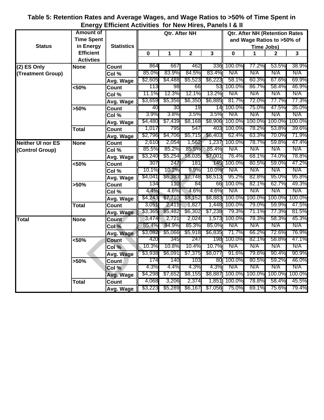# **Table 5: Retention Rates and Average Wages, and Wage Ratios to >50% of Time Spent in Energy Efficient Activities for New Hires, Panels I & II**

|                          | <b>Amount of</b>  |                   |         | Qtr. After NH |                |         | <b>Qtr. After NH (Retention Rates</b> |                            |        |        |  |  |  |
|--------------------------|-------------------|-------------------|---------|---------------|----------------|---------|---------------------------------------|----------------------------|--------|--------|--|--|--|
|                          | <b>Time Spent</b> |                   |         |               |                |         |                                       | and Wage Ratios to >50% of |        |        |  |  |  |
| <b>Status</b>            | in Energy         | <b>Statistics</b> |         |               |                |         | Time Jobs)                            |                            |        |        |  |  |  |
|                          | <b>Efficient</b>  |                   | 0       | 1             | $\overline{2}$ | 3       | $\mathbf 0$                           | 1                          | 2      | 3      |  |  |  |
|                          | <b>Activties</b>  |                   |         |               |                |         |                                       |                            |        |        |  |  |  |
| $(2)$ ES Only            | <b>None</b>       | Count             | 864     | 667           | 462            | 336     | 100.0%                                | 77.2%                      | 53.5%  | 38.9%  |  |  |  |
| (Treatment Group)        |                   | Col %             | 85.0%   | 83.9%         | 84.5%          | 83.4%   | N/A                                   | N/A                        | N/A    | N/A    |  |  |  |
|                          |                   | Avg. Wage         | \$2,605 | \$4,488       | \$5,523        | \$6,223 | 58.1%                                 | 60.3%                      | 67.6%  | 69.9%  |  |  |  |
|                          | 50%               | <b>Count</b>      | 113     | 98            | 66             | 53      | 100.0%                                | 86.7%                      | 58.4%  | 46.9%  |  |  |  |
|                          |                   | Col %             | 11.1%   | 12.3%         | 12.1%          | 13.2%   | N/A                                   | N/A                        | N/A    | N/A    |  |  |  |
|                          |                   | Avg. Wage         | \$3,659 | \$5,356       | \$6,350        | \$6,885 | 81.7%                                 | 72.0%                      | 77.7%  | 77.3%  |  |  |  |
|                          | >50%              | <b>Count</b>      | 40      | 30            | 19             | 14      | 100.0%                                | 75.0%                      | 47.5%  | 35.0%  |  |  |  |
|                          |                   | Col %             | 3.9%    | 3.8%          | 3.5%           | 3.5%    | N/A                                   | N/A                        | N/A    | N/A    |  |  |  |
|                          |                   | Avg. Wage         | \$4,480 | \$7,439       | \$8,168        | \$8,906 | 100.0%                                | 100.0%                     | 100.0% | 100.0% |  |  |  |
|                          | <b>Total</b>      | <b>Count</b>      | 1,017   | 795           | 547            | 403     | 100.0%                                | 78.2%                      | 53.8%  | 39.6%  |  |  |  |
|                          |                   | Avg. Wage         | \$2,796 | \$4,706       | \$5,715        | \$6,403 | 62.4%                                 | 63.3%                      | 70.0%  | 71.9%  |  |  |  |
| <b>Neither UI nor ES</b> | <b>None</b>       | <b>Count</b>      | 2,610   | 2,054         | 1,562          | 1,237   | 100.0%                                | 78.7%                      | 59.8%  | 47.4%  |  |  |  |
| (Control Group)          |                   | Col %             | 85.5%   | 85.2%         | 85.5%          | 85.4%   | N/A                                   | N/A                        | N/A    | N/A    |  |  |  |
|                          |                   | Avg. Wage         | \$3,240 | \$5,254       | \$6,035        | \$7,001 | 76.4%                                 | 68.1%                      | 74.0%  | 78.8%  |  |  |  |
|                          | <50%              | <b>Count</b>      | 307     | 247           | 181            | 145     | 100.0%                                | 80.5%                      | 59.0%  | 47.2%  |  |  |  |
|                          |                   | Col %             | 10.1%   | 10.2%         | 9.9%           | 10.0%   | N/A                                   | N/A                        | N/A    | N/A    |  |  |  |
|                          |                   | Avg. Wage         | \$4,041 | \$6,383       | \$7,748        | \$8,513 | 95.2%                                 | 82.8%                      | 95.0%  | 95.8%  |  |  |  |
|                          | >50%              | Count             | 134     | 110           | 84             | 66      | 100.0%                                | 82.1%                      | 62.7%  | 49.3%  |  |  |  |
|                          |                   | Col %             | 4.4%    | 4.6%          | 4.6%           | 4.6%    | N/A                                   | N/A                        | N/A    | N/A    |  |  |  |
|                          |                   | Avg. Wage         | \$4,243 | \$7,710       | \$8,152        | \$8,883 | 100.0%                                | 100.0%                     | 100.0% | 100.0% |  |  |  |
|                          | <b>Total</b>      | Count             | 3,051   | 2,411         | 1,827          | 1,448   | 100.0%                                | 79.0%                      | 59.9%  | 47.5%  |  |  |  |
|                          |                   | Avg. Wage         | \$3,365 | \$5,482       | \$6,302        | \$7,238 | 79.3%                                 | 71.1%                      | 77.3%  | 81.5%  |  |  |  |
| <b>Total</b>             | <b>None</b>       | <b>Count</b>      | 3,474   | 2,721         | 2,024          | 1,573   | 100.0%                                | 78.3%                      | 58.3%  | 45.3%  |  |  |  |
|                          |                   | Col %             | 85.4%   | 84.9%         | 85.3%          | 85.0%   | N/A                                   | N/A                        | N/A    | N/A    |  |  |  |
|                          |                   | Avg. Wage         | \$3,082 | \$5,066       | \$5,918        | \$6,835 | 71.7%                                 | 66.2%                      | 72.6%  | 76.9%  |  |  |  |
|                          | $<50\%$           | <b>Count</b>      | 420     | 345           | 247            | 198     | 100.0%                                | 82.1%                      | 58.8%  | 47.1%  |  |  |  |
|                          |                   | Col %             | 10.3%   | 10.8%         | 10.4%          | 10.7%   | N/A                                   | N/A                        | N/A    | N/A    |  |  |  |
|                          |                   | Avg. Wage         | \$3,938 | \$6,091       | \$7,375        | \$8,077 | 91.6%                                 | 79.6%                      | 90.4%  | 90.9%  |  |  |  |
|                          | >50%              | Count             | 174     | 140           | 103            | 80      | 100.0%                                | 80.5%                      | 59.2%  | 46.0%  |  |  |  |
|                          |                   | Col %             | 4.3%    | 4.4%          | 4.3%           | 4.3%    | N/A                                   | N/A                        | N/A    | N/A    |  |  |  |
|                          |                   | Avg. Wage         | \$4,298 | \$7,652       | \$8,155        | \$8,887 | 100.0%                                | 100.0%                     | 100.0% | 100.0% |  |  |  |
|                          | <b>Total</b>      | Count             | 4,068   | 3,206         | 2,374          | 1,851   | 100.0%                                | 78.8%                      | 58.4%  | 45.5%  |  |  |  |
|                          |                   | Avg. Wage         | \$3,223 | \$5,289       | \$6,167        | \$7,056 | 75.0%                                 | 69.1%                      | 75.6%  | 79.4%  |  |  |  |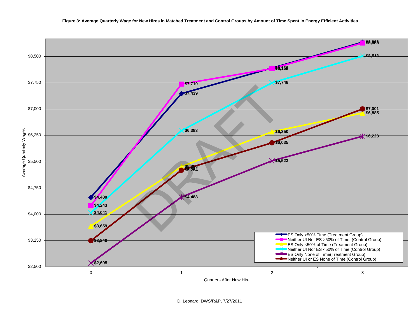

D. Leonard, DWS/R&P, 7/27/2011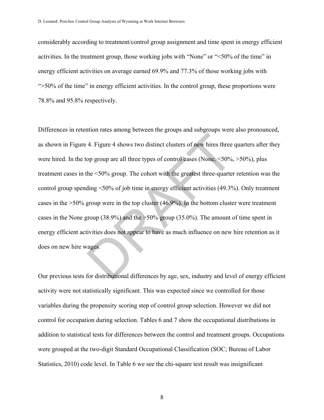considerably according to treatment/control group assignment and time spent in energy efficient activities. In the treatment group, those working jobs with "None" or "<50% of the time" in energy efficient activities on average earned 69.9% and 77.3% of those working jobs with ">50% of the time" in energy efficient activities. In the control group, these proportions were 78.8% and 95.8% respectively.

Differences in retention rates among between the groups and subgroups were also pronounced, as shown in Figure 4. Figure 4 shows two distinct clusters of new hires three quarters after they were hired. In the top group are all three types of control cases (None, <50%, >50%), plus treatment cases in the <50% group. The cohort with the greatest three-quarter retention was the control group spending <50% of job time in energy efficient activities (49.3%). Only treatment cases in the >50% group were in the top cluster (46.9%). In the bottom cluster were treatment cases in the None group (38.9%) and the  $>50\%$  group (35.0%). The amount of time spent in energy efficient activities does not appear to have as much influence on new hire retention as it does on new hire wages. 4. Figure 4 shows two distinct clusters of new hires three<br>op group are all three types of control cases (None,  $\leq 50\%$ ,<br>he  $\leq 50\%$  group. The cohort with the greatest three-quarter<br>ding  $\leq 50\%$  of job time in en

Our previous tests for distributional differences by age, sex, industry and level of energy efficient activity were not statistically significant. This was expected since we controlled for those variables during the propensity scoring step of control group selection. However we did not control for occupation during selection. Tables 6 and 7 show the occupational distributions in addition to statistical tests for differences between the control and treatment groups. Occupations were grouped at the two-digit Standard Occupational Classification (SOC; Bureau of Labor Statistics, 2010) code level. In Table 6 we see the chi-square test result was insignificant

8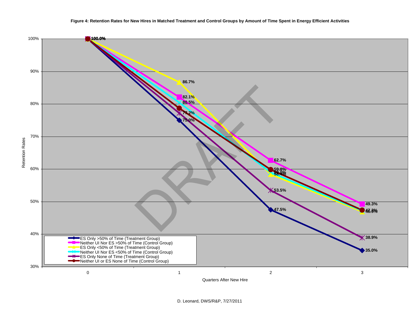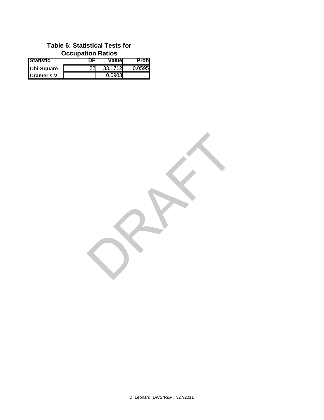# **Table 6: Statistical Tests for Occupation Ratios**

| <b>Statistic</b>   |    | Valuel  | Probl  |
|--------------------|----|---------|--------|
| <b>Chi-Square</b>  | 22 | 33.1712 | 0.0595 |
| <b>ICramer's V</b> |    | 0.0903  |        |

RAFT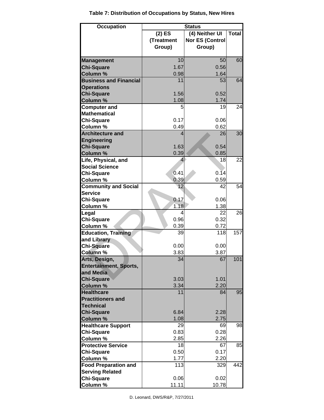| <b>Occupation</b>             | <b>Status</b> |                        |              |  |  |  |  |  |  |  |
|-------------------------------|---------------|------------------------|--------------|--|--|--|--|--|--|--|
|                               | $(2)$ ES      | (4) Neither UI         | <b>Total</b> |  |  |  |  |  |  |  |
|                               | (Treatment    | <b>Nor ES (Control</b> |              |  |  |  |  |  |  |  |
|                               | Group)        | Group)                 |              |  |  |  |  |  |  |  |
|                               |               |                        |              |  |  |  |  |  |  |  |
| <b>Management</b>             | 10            | 50                     | 60           |  |  |  |  |  |  |  |
| <b>Chi-Square</b>             | 1.67          | 0.56                   |              |  |  |  |  |  |  |  |
| Column %                      | 0.98          | 1.64                   |              |  |  |  |  |  |  |  |
| <b>Business and Financial</b> | 11            | 53                     | 64           |  |  |  |  |  |  |  |
| <b>Operations</b>             |               |                        |              |  |  |  |  |  |  |  |
| <b>Chi-Square</b>             | 1.56          | 0.52                   |              |  |  |  |  |  |  |  |
| Column %                      | 1.08          | 1.74                   |              |  |  |  |  |  |  |  |
| <b>Computer and</b>           | 5             | 19                     | 24           |  |  |  |  |  |  |  |
| <b>Mathematical</b>           |               |                        |              |  |  |  |  |  |  |  |
| <b>Chi-Square</b>             | 0.17          | 0.06                   |              |  |  |  |  |  |  |  |
| Column %                      | 0.49          | 0.62                   |              |  |  |  |  |  |  |  |
| <b>Architecture and</b>       | 4             | 26                     | 30           |  |  |  |  |  |  |  |
| <b>Engineering</b>            |               |                        |              |  |  |  |  |  |  |  |
| <b>Chi-Square</b>             | 1.63          | 0.54                   |              |  |  |  |  |  |  |  |
| Column %                      | 0.39          | 0.85                   |              |  |  |  |  |  |  |  |
| Life, Physical, and           | 4             | 18                     | 22           |  |  |  |  |  |  |  |
| <b>Social Science</b>         |               |                        |              |  |  |  |  |  |  |  |
| <b>Chi-Square</b>             | 0.41          | 0.14                   |              |  |  |  |  |  |  |  |
| Column %                      | 0.39          | 0.59                   |              |  |  |  |  |  |  |  |
| <b>Community and Social</b>   | 12            | 42                     | 54           |  |  |  |  |  |  |  |
| <b>Service</b>                |               |                        |              |  |  |  |  |  |  |  |
| <b>Chi-Square</b>             | 0.17          | 0.06                   |              |  |  |  |  |  |  |  |
| Column %                      | 1.18          | 1.38                   |              |  |  |  |  |  |  |  |
| Legal                         | 4             | 22                     | 26           |  |  |  |  |  |  |  |
| <b>Chi-Square</b>             | 0.96          | 0.32                   |              |  |  |  |  |  |  |  |
| Column %                      | 0.39          | 0.72                   |              |  |  |  |  |  |  |  |
| <b>Education, Training</b>    | 39            | 118                    | 157          |  |  |  |  |  |  |  |
| and Library                   |               |                        |              |  |  |  |  |  |  |  |
| <b>Chi-Square</b>             | 0.00          | 0.00                   |              |  |  |  |  |  |  |  |
| Column %                      | 3.83          | 3.87                   |              |  |  |  |  |  |  |  |
| Arts, Design,                 | 34            | 67                     | 101          |  |  |  |  |  |  |  |
| <b>Entertainment, Sports,</b> |               |                        |              |  |  |  |  |  |  |  |
| and Media                     |               |                        |              |  |  |  |  |  |  |  |
| <b>Chi-Square</b>             | 3.03          | 1.01                   |              |  |  |  |  |  |  |  |
| <b>Column %</b>               | 3.34          | 2.20                   |              |  |  |  |  |  |  |  |
| <b>Healthcare</b>             | 11            | 84                     | 95           |  |  |  |  |  |  |  |
| <b>Practitioners and</b>      |               |                        |              |  |  |  |  |  |  |  |
| <b>Technical</b>              |               |                        |              |  |  |  |  |  |  |  |
| <b>Chi-Square</b>             | 6.84          | 2.28                   |              |  |  |  |  |  |  |  |
| Column %                      | 1.08          | 2.75                   |              |  |  |  |  |  |  |  |
| <b>Healthcare Support</b>     | 29            | 69                     | 98           |  |  |  |  |  |  |  |
| <b>Chi-Square</b>             | 0.83          | 0.28                   |              |  |  |  |  |  |  |  |
| Column %                      | 2.85          | 2.26                   |              |  |  |  |  |  |  |  |
| <b>Protective Service</b>     | 18            | 67                     | 85           |  |  |  |  |  |  |  |
| <b>Chi-Square</b>             | 0.50          | 0.17                   |              |  |  |  |  |  |  |  |
| Column %                      | 1.77          | 2.20                   |              |  |  |  |  |  |  |  |
| <b>Food Preparation and</b>   | 113           | 329                    | 442          |  |  |  |  |  |  |  |
| <b>Serving Related</b>        |               |                        |              |  |  |  |  |  |  |  |
| <b>Chi-Square</b>             | 0.06          | 0.02                   |              |  |  |  |  |  |  |  |
| Column %                      | 11.11         | 10.78                  |              |  |  |  |  |  |  |  |

**Table 7: Distribution of Occupations by Status, New Hires**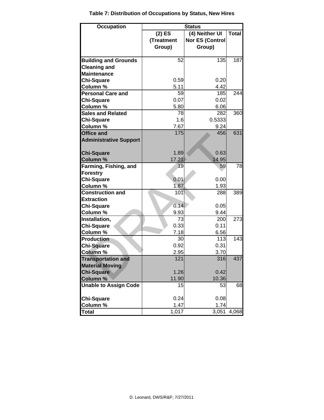| <b>Occupation</b>             | <b>Status</b>   |                        |              |  |  |  |  |  |  |  |  |
|-------------------------------|-----------------|------------------------|--------------|--|--|--|--|--|--|--|--|
|                               | $(2)$ ES        | (4) Neither UI         | <b>Total</b> |  |  |  |  |  |  |  |  |
|                               | (Treatment      | <b>Nor ES (Control</b> |              |  |  |  |  |  |  |  |  |
|                               | Group)          | Group)                 |              |  |  |  |  |  |  |  |  |
|                               |                 |                        |              |  |  |  |  |  |  |  |  |
| <b>Building and Grounds</b>   | 52              | 135                    | 187          |  |  |  |  |  |  |  |  |
| <b>Cleaning and</b>           |                 |                        |              |  |  |  |  |  |  |  |  |
| <b>Maintenance</b>            |                 |                        |              |  |  |  |  |  |  |  |  |
| <b>Chi-Square</b>             | 0.59            | 0.20                   |              |  |  |  |  |  |  |  |  |
| <b>Column %</b>               | 5.11            | 4.42                   |              |  |  |  |  |  |  |  |  |
| <b>Personal Care and</b>      | 59              | 185                    | 244          |  |  |  |  |  |  |  |  |
| <b>Chi-Square</b>             | 0.07            | 0.02                   |              |  |  |  |  |  |  |  |  |
| <b>Column %</b>               | 5.80            | 6.06                   |              |  |  |  |  |  |  |  |  |
| <b>Sales and Related</b>      | 78              | 282                    | 360          |  |  |  |  |  |  |  |  |
| <b>Chi-Square</b>             | 1.6             | 0.5333                 |              |  |  |  |  |  |  |  |  |
| Column %                      | 7.67            | 9.24                   |              |  |  |  |  |  |  |  |  |
| <b>Office and</b>             | 175             | 456                    | 631          |  |  |  |  |  |  |  |  |
| <b>Administrative Support</b> |                 |                        |              |  |  |  |  |  |  |  |  |
|                               |                 |                        |              |  |  |  |  |  |  |  |  |
| <b>Chi-Square</b>             | 1.89            | 0.63                   |              |  |  |  |  |  |  |  |  |
| <b>Column %</b>               | 17.21           | 14.95                  |              |  |  |  |  |  |  |  |  |
| Farming, Fishing, and         | 19              | 59                     | 78           |  |  |  |  |  |  |  |  |
| <b>Forestry</b>               |                 |                        |              |  |  |  |  |  |  |  |  |
| <b>Chi-Square</b>             | 0.01            | 0.00                   |              |  |  |  |  |  |  |  |  |
| Column %                      | 1.87            | 1.93                   |              |  |  |  |  |  |  |  |  |
| <b>Construction and</b>       | 10 <sub>1</sub> | 288                    | 389          |  |  |  |  |  |  |  |  |
| <b>Extraction</b>             |                 |                        |              |  |  |  |  |  |  |  |  |
| <b>Chi-Square</b>             | 0.14            | 0.05                   |              |  |  |  |  |  |  |  |  |
| Column %                      | 9.93            | 9.44                   |              |  |  |  |  |  |  |  |  |
| Installation,                 | 73              | 200                    | 273          |  |  |  |  |  |  |  |  |
| <b>Chi-Square</b>             | 0.33            | 0.11                   |              |  |  |  |  |  |  |  |  |
| Column %                      | 7.18            | 6.56                   |              |  |  |  |  |  |  |  |  |
| <b>Production</b>             | 30              | 113                    | 143          |  |  |  |  |  |  |  |  |
| <b>Chi-Square</b>             | 0.92            | 0.31                   |              |  |  |  |  |  |  |  |  |
| <b>Column %</b>               | 2.95            | 3.70                   |              |  |  |  |  |  |  |  |  |
| <b>Transportation and</b>     | 121             | 316                    | 437          |  |  |  |  |  |  |  |  |
| <b>Material Moving</b>        |                 |                        |              |  |  |  |  |  |  |  |  |
| <b>Chi-Square</b>             | 1.26            | 0.42                   |              |  |  |  |  |  |  |  |  |
| <b>Column %</b>               | 11.90           | 10.36                  |              |  |  |  |  |  |  |  |  |
| <b>Unable to Assign Code</b>  | 15              | 53                     | 68           |  |  |  |  |  |  |  |  |
|                               |                 |                        |              |  |  |  |  |  |  |  |  |
| <b>Chi-Square</b>             | 0.24            | 0.08                   |              |  |  |  |  |  |  |  |  |
| Column %                      | 1.47            | 1.74                   |              |  |  |  |  |  |  |  |  |
| <b>Total</b>                  | 1,017           | 3,051                  | 4,068        |  |  |  |  |  |  |  |  |

**Table 7: Distribution of Occupations by Status, New Hires**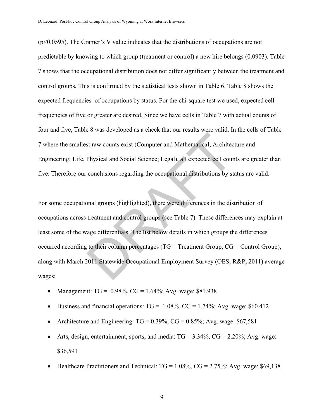$(p<0.0595)$ . The Cramer's V value indicates that the distributions of occupations are not predictable by knowing to which group (treatment or control) a new hire belongs (0.0903). Table 7 shows that the occupational distribution does not differ significantly between the treatment and control groups. This is confirmed by the statistical tests shown in Table 6. Table 8 shows the expected frequencies of occupations by status. For the chi-square test we used, expected cell frequencies of five or greater are desired. Since we have cells in Table 7 with actual counts of four and five, Table 8 was developed as a check that our results were valid. In the cells of Table 7 where the smallest raw counts exist (Computer and Mathematical; Architecture and Engineering; Life, Physical and Social Science; Legal), all expected cell counts are greater than five. Therefore our conclusions regarding the occupational distributions by status are valid.

For some occupational groups (highlighted), there were differences in the distribution of occupations across treatment and control groups (see Table 7). These differences may explain at least some of the wage differentials. The list below details in which groups the differences occurred according to their column percentages (TG = Treatment Group, CG = Control Group), along with March 2011 Statewide Occupational Employment Survey (OES; R&P, 2011) average wages: International Mathematical; Architective Physical and Social Science; Legal), all expected cell cours<br>conclusions regarding the occupational distributions by st<br>onal groups (highlighted), there were differences in the dis-

- Management:  $TG = 0.98\%$ ,  $CG = 1.64\%$ ; Avg. wage: \$81,938
- Business and financial operations:  $TG = 1.08\%$ ,  $CG = 1.74\%$ ; Avg. wage: \$60,412
- Architecture and Engineering:  $TG = 0.39\%$ ,  $CG = 0.85\%$ ; Avg. wage: \$67,581
- Arts, design, entertainment, sports, and media:  $TG = 3.34\%$ ,  $CG = 2.20\%$ ; Avg. wage: \$36,591
- Healthcare Practitioners and Technical:  $TG = 1.08\%$ ,  $CG = 2.75\%$ ; Avg. wage: \$69,138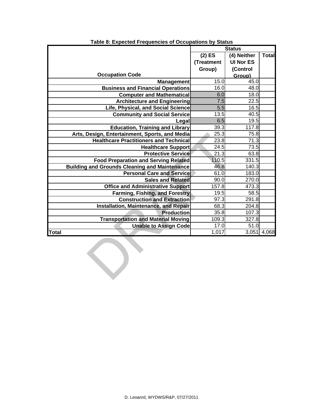|                                                      |                  | <b>Status</b>    |             |
|------------------------------------------------------|------------------|------------------|-------------|
|                                                      | $(2)$ ES         | (4) Neither      | Total       |
|                                                      | (Treatment       | <b>UI Nor ES</b> |             |
|                                                      | Group)           | (Control         |             |
| <b>Occupation Code</b>                               |                  | Group)           |             |
| <b>Management</b>                                    | 15.0             | 45.0             |             |
| <b>Business and Financial Operations</b>             | 16.0             | 48.0             |             |
| <b>Computer and Mathematical</b>                     | 6.0              | 18.0             |             |
| <b>Architecture and Engineering</b>                  | 7.5              | 22.5             |             |
| Life, Physical, and Social Science                   | $\overline{5.5}$ | 16.5             |             |
| <b>Community and Social Service</b>                  | 13.5             | 40.5             |             |
| Legal                                                | 6.5              | 19.5             |             |
| <b>Education, Training and Library</b>               | 39.3             | 117.8            |             |
| Arts, Design, Entertainment, Sports, and Media       | 25.3             | 75.8             |             |
| <b>Healthcare Practitioners and Technical</b>        | 23.8             | 71.3             |             |
| <b>Healthcare Support</b>                            | 24.5             | 73.5             |             |
| <b>Protective Service</b>                            | 21.3             | 63.8             |             |
| <b>Food Preparation and Serving Related</b>          | 110.5            | 331.5            |             |
| <b>Building and Grounds Cleaning and Maintenance</b> | 46.8             | 140.3            |             |
| <b>Personal Care and Service</b>                     | 61.0             | 183.0            |             |
| <b>Sales and Related</b>                             | 90.0             | 270.0            |             |
| <b>Office and Administrative Support</b>             | 157.8            | 473.3            |             |
| <b>Farming, Fishing, and Forestry</b>                | 19.5             | 58.5             |             |
| <b>Construction and Extraction</b>                   | 97.3             | 291.8            |             |
| <b>Installation, Maintenance, and Repair</b>         | 68.3             | 204.8            |             |
| <b>Production</b>                                    | 35.8             | 107.3            |             |
| <b>Transportation and Material Moving</b>            | 109.3            | 327.8            |             |
| <b>Unable to Assign Code</b>                         | 17.0             | 51.0             |             |
| Total                                                | 1,017            |                  | 3,051 4,068 |
|                                                      |                  |                  |             |

**Table 8: Expected Frequencies of Occupations by Status**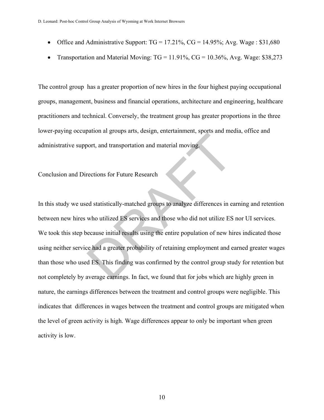- Office and Administrative Support:  $TG = 17.21\%$ ,  $CG = 14.95\%$ ; Avg. Wage: \$31,680
- Transportation and Material Moving:  $TG = 11.91\%$ ,  $CG = 10.36\%$ , Avg. Wage: \$38,273

The control group has a greater proportion of new hires in the four highest paying occupational groups, management, business and financial operations, architecture and engineering, healthcare practitioners and technical. Conversely, the treatment group has greater proportions in the three lower-paying occupation al groups arts, design, entertainment, sports and media, office and administrative support, and transportation and material moving.

## Conclusion and Directions for Future Research

In this study we used statistically-matched groups to analyze differences in earning and retention between new hires who utilized ES services and those who did not utilize ES nor UI services. We took this step because initial results using the entire population of new hires indicated those using neither service had a greater probability of retaining employment and earned greater wages than those who used ES. This finding was confirmed by the control group study for retention but not completely by average earnings. In fact, we found that for jobs which are highly green in nature, the earnings differences between the treatment and control groups were negligible. This indicates that differences in wages between the treatment and control groups are mitigated when the level of green activity is high. Wage differences appear to only be important when green activity is low. ort, and transportation and material moving.<br>
Nort, and transportation and material moving.<br>
The distribution of Future Research<br>
Ed statistically-matched groups to analyze differences in ea<br>
who utilized ES services and t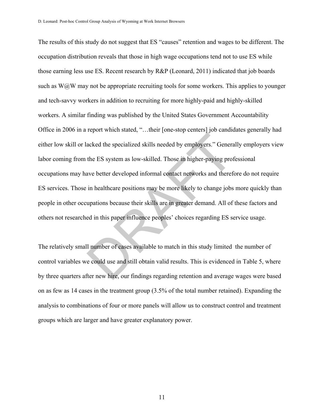The results of this study do not suggest that ES "causes" retention and wages to be different. The occupation distribution reveals that those in high wage occupations tend not to use ES while those earning less use ES. Recent research by R&P (Leonard, 2011) indicated that job boards such as  $W@W$  may not be appropriate recruiting tools for some workers. This applies to younger and tech-savvy workers in addition to recruiting for more highly-paid and highly-skilled workers. A similar finding was published by the United States Government Accountability Office in 2006 in a report which stated, "…their [one-stop centers] job candidates generally had either low skill or lacked the specialized skills needed by employers." Generally employers view labor coming from the ES system as low-skilled. Those in higher-paying professional occupations may have better developed informal contact networks and therefore do not require ES services. Those in healthcare positions may be more likely to change jobs more quickly than people in other occupations because their skills are in greater demand. All of these factors and others not researched in this paper influence peoples' choices regarding ES service usage. The ES system as low-skilled. Those in higher-paying proton the ES system as low-skilled. Those in higher-paying prot<br>ave better developed informal contact networks and therefore in healthcare positions may be more likely

The relatively small number of cases available to match in this study limited the number of control variables we could use and still obtain valid results. This is evidenced in Table 5, where by three quarters after new hire, our findings regarding retention and average wages were based on as few as 14 cases in the treatment group (3.5% of the total number retained). Expanding the analysis to combinations of four or more panels will allow us to construct control and treatment groups which are larger and have greater explanatory power.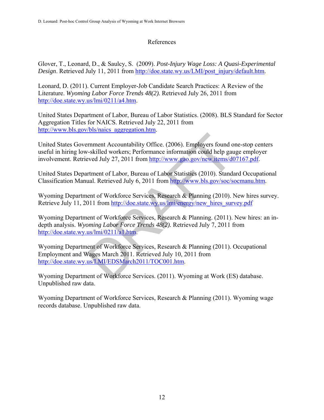## References

Glover, T., Leonard, D., & Saulcy, S. (2009). *Post-Injury Wage Loss: A Quasi-Experimental Design*. Retrieved July 11, 2011 from http://doe.state.wy.us/LMI/post\_injury/default.htm.

Leonard, D. (2011). Current Employer-Job Candidate Search Practices: A Review of the Literature. *Wyoming Labor Force Trends 48(2).* Retrieved July 26, 2011 from http://doe.state.wy.us/lmi/0211/a4.htm.

United States Department of Labor, Bureau of Labor Statistics. (2008). BLS Standard for Sector Aggregation Titles for NAICS. Retrieved July 22, 2011 from http://www.bls.gov/bls/naics\_aggregation.htm.

United States Government Accountability Office. (2006). Employers found one-stop centers useful in hiring low-skilled workers; Performance information could help gauge employer involvement. Retrieved July 27, 2011 from http://www.gao.gov/new.items/d07167.pdf.

United States Department of Labor, Bureau of Labor Statistics (2010). Standard Occupational Classification Manual. Retrieved July 6, 2011 from http://www.bls.gov/soc/socmanu.htm.

Wyoming Department of Workforce Services, Research & Planning (2010). New hires survey. Retrieve July 11, 2011 from http://doe.state.wy.us/lmi/energy/new\_hires\_survey.pdf

Wyoming Department of Workforce Services, Research & Planning. (2011). New hires: an indepth analysis. *Wyoming Labor Force Trends 48(2).* Retrieved July 7, 2011 from http://doe.state.wy.us/lmi/0211/a1.htm. Framment Accountability Office. (2006). Employers found only-skilled workers; Performance information could help gauge<br>weed July 27, 2011 from http://www.gao.gov/new.items/df<br>trtment of Labor, Bureau of Labor Statistics (2

Wyoming Department of Workforce Services, Research & Planning (2011). Occupational Employment and Wages March 2011. Retrieved July 10, 2011 from http://doe.state.wy.us/LMI/EDSMarch2011/TOC001.htm.

Wyoming Department of Workforce Services. (2011). Wyoming at Work (ES) database. Unpublished raw data.

Wyoming Department of Workforce Services, Research & Planning (2011). Wyoming wage records database. Unpublished raw data.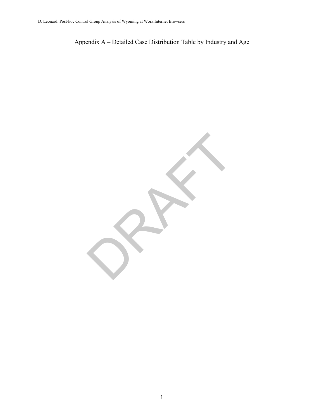Appendix A – Detailed Case Distribution Table by Industry and Age

RAFT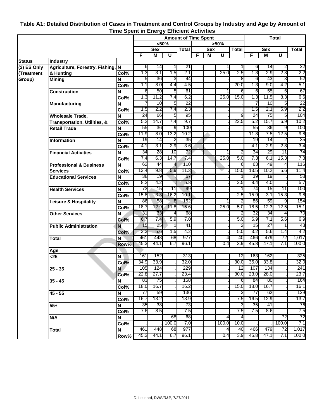|               |                                         |           | <b>Amount of Time Spent</b> |            |          |              |    |            |       |              |           | <b>Total</b> |          |           |  |
|---------------|-----------------------------------------|-----------|-----------------------------|------------|----------|--------------|----|------------|-------|--------------|-----------|--------------|----------|-----------|--|
|               |                                         |           |                             |            | $50%$    |              |    |            | >50%  |              |           |              |          |           |  |
|               |                                         |           |                             | <b>Sex</b> |          | <b>Total</b> |    | <b>Sex</b> |       | <b>Total</b> |           | <b>Sex</b>   |          | Total     |  |
|               |                                         |           | F                           | M          | U        |              | F. | M          | U     |              | F         | M            | U        |           |  |
| <b>Status</b> | <b>Industry</b>                         |           |                             |            |          |              |    |            |       |              |           |              |          |           |  |
| (2) ES Only   | Agriculture, Forestry, Fishing, N       |           | 6                           | 14         |          | 21           |    |            |       |              | 6         | 14           | 2        | 22        |  |
| (Treatment    | & Hunting                               | Col%      | 1.3                         | 3.1        | 1.5      | 2.1          |    |            | 25.0  | $2.5\,$      | 1.3       | 2.9          | 2.8      | 2.2       |  |
| Group)        | <b>Mining</b>                           | N         | 5                           | 36         | 3        | 44           |    |            |       | 8            | 6         | 43           | 3        | 52        |  |
|               |                                         | Col%      | 1.1                         | 8.0        | 4.4      | 4.5          |    |            |       | 20.0         | 1.3       | 9.0          | 4.2      | 5.1       |  |
|               | <b>Construction</b>                     | N         | 6                           | 50         | 5        | 61           |    |            |       | 6            | 6         | 55           | 6        | 67        |  |
|               |                                         | Col%      | 1.3                         | 11.2       | 7.4      | 6.2          |    |            | 25.0  | 15.0         | 1.3       | 11.5         | 8.3      | 6.6       |  |
|               | Manufacturing                           | N         |                             | 10<br>2.2  | 5        | 22<br>2.3    |    |            |       |              |           | 10           | 5<br>6.9 | 22<br>2.2 |  |
|               |                                         | Col%      | 1.5                         |            | 7.4      |              |    |            |       | 9            | 1.5<br>24 | 2.1          |          | 104       |  |
|               | <b>Wholesale Trade,</b>                 | N         | 24<br>5.2                   | 66<br>14.7 | 5<br>7.4 | 95<br>9.7    |    |            |       | 22.5         | 5.2       | 75<br>15.7   | 5<br>6.9 | 10.2      |  |
|               | <b>Transportation, Utilities, &amp;</b> | Col%      | 55                          | 36         | 9        | 100          |    |            |       |              | 55        | 36           | 9        | 100       |  |
|               | <b>Retail Trade</b>                     | N         | 11.9                        | 8.0        | 13.2     | 10.2         |    |            |       |              | 11.8      | 7.5          | 12.5     | 9.8       |  |
|               |                                         | Col%      | 19                          | 14         | 2        | 35           |    |            |       |              | 19        | 14           | 2        | 35        |  |
|               | <b>Information</b>                      | N<br>Col% | 4.1                         | 3.1        | 2.9      | 3.6          |    |            |       |              | 4.1       | 2.9          | 2.8      | 3.4       |  |
|               | <b>Financial Activities</b>             | N         | 34                          | 28         | 10       | 72           |    |            |       | 2            | 34        | 29           | 11       | 74        |  |
|               |                                         | Col%      | 7.4                         | 6.3        | 14.7     | 7.4          |    |            | 25.0  | 5.0          | 7.3       | 6.1          | 15.3     | 7.3       |  |
|               | <b>Professional &amp; Business</b>      | N         | 62                          | 44         |          | 110          |    |            |       | 6            | 63        | 49           | 4        | 116       |  |
|               | <b>Services</b>                         | Col%      | 13.4                        | 9.8        | 5.9      | 11.3         |    |            |       | 15.0         | 13.5      | 10.2         | 5.6      | 11.4      |  |
|               | <b>Educational Services</b>             | N         | 38                          | 19         |          | 57           |    |            |       |              | 39        | 19           |          | 58        |  |
|               |                                         | Col%      | 8.2                         | 4.2        |          | 5.8          |    |            |       | 2.5          | 8.4       | 4.0          |          | 5.7       |  |
|               | <b>Health Services</b>                  | N         | 73                          | 15         | 11       | 99           |    |            |       |              | 74        | 15           | 11       | 100       |  |
|               |                                         | Col%      | 15.8                        | 3.3        | 16.2     | 10.1         |    |            |       | 2.5          | 15.9      | 3.1          | 15.3     | 9.8       |  |
|               | <b>Leisure &amp; Hospitality</b>        | N         | 86                          | 58         | 8        | 152          |    |            |       | 2            | 86        | 59           | 9        | 154       |  |
|               |                                         | Col%      | 18.7                        | 12.9       | 11.8     | 15.6         |    |            | 25.0  | 5.0          | 18.5      | 12.3         | 12.5     | 15.1      |  |
|               | <b>Other Services</b>                   | N         | 31                          | 33         |          | 68           |    |            |       | 2            | 32        | 34           | 4        | 70        |  |
|               |                                         | Col%      | 6.7                         | 7.4        | 5.9      | 7.0          |    |            |       | 5.0          | 6.9       | 7.1          | 5.6      | 6.9       |  |
|               | <b>Public Administration</b>            | N         | 15                          | 25         |          | 41           |    |            |       | 2            | 15        | 27           |          | 43        |  |
|               |                                         | Col%      | 3.3                         | 5.6        | 1.5      | 4.2          |    |            |       | 5.0          | 3.2       | 5.6          | 1.4      | 4.2       |  |
|               | <b>Total</b>                            | N         | 461                         | 448        | 68       | 977          |    |            | 4     | 40           | 466       | 479          | 72       | 1,017     |  |
|               |                                         | Row%      | 45.3                        | 44.1       | 6.7      | 96.1         |    |            | 0.4   | 3.9          | 45.8      | 47.1         | 7.1      | 100.0     |  |
|               | Age                                     |           |                             |            |          |              |    |            |       |              |           |              |          |           |  |
|               | $\overline{25}$                         | N         | 161                         | 152        |          | 313          |    |            |       | 12           | 163       | 162          |          | 325       |  |
|               |                                         | Col%      | 34.9                        | 33.9       |          | 32.0         |    |            |       | 30.0         | 35.0      | 33.8         |          | 32.0      |  |
|               | $25 - 35$                               | N         | 105                         | 124        |          | 229          |    |            |       | 12           | 107       | 134          |          | 241       |  |
|               |                                         | Col%      | 22.8                        | 27.7       |          | 23.4         |    |            |       | 30.0         | 23.0      | 28.0         |          | 23.7      |  |
|               | $35 - 45$                               | N         | 83                          | 75         |          | 158          |    |            |       | 6            | 84        | 80           |          | 164       |  |
|               |                                         | Col%      | 18.0                        | 16.7       |          | 16.2         |    |            |       | 15.0         | 18.0      | 16.7         |          | 16.1      |  |
|               | $45 - 55$                               | N         | 77                          | 59         |          | 136          |    |            |       | 3            | 77        | 62           |          | 139       |  |
|               |                                         | Col%      | 16.7                        | 13.2       |          | 13.9         |    |            |       | 7.5          | 16.5      | 12.9         |          | 13.7      |  |
|               | $55+$                                   | N         | 35                          | 38         |          | 73           |    |            |       | 3            | 35        | 41           |          | 76        |  |
|               |                                         | Col%      | 7.6                         | 8.5        |          | 7.5          |    |            |       | 7.5          | 7.5       | 8.6          |          | 7.5       |  |
|               | N/A                                     | N         |                             |            | 68       | 68           |    |            | 4     | 4            |           |              | 72       | 72        |  |
|               |                                         | Col%      |                             |            | 100.0    | 7.0          |    |            | 100.0 | 10.0         |           |              | 100.0    | 7.1       |  |
|               | <b>Total</b>                            | N         | 461                         | 448        | 68       | 977          |    |            | 4     | 40           | 466       | 479          | 72       | 1,017     |  |
|               |                                         | Row%      | 45.3                        | 44.1       | 6.7      | 96.1         |    |            | 0.4   | 3.9          | 45.8      | 47.1         | 7.1      | 100.0     |  |

## **Table A1: Detailed Distribution of Cases in Treatment and Control Groups by Industry and Age by Amount of Time Spent in Energy Efficient Activities**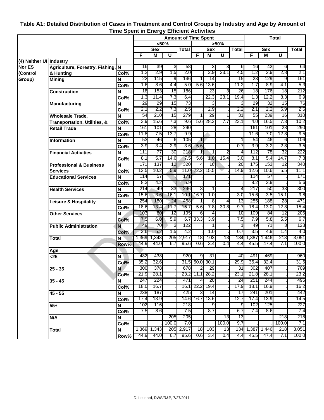# **Table A1: Detailed Distribution of Cases in Treatment and Control Groups by Industry and Age by Amount of Time Spent in Energy Efficient Activities**

|                         |                                         |      | <b>Amount of Time Spent</b> |            |       |              |           |                | <b>Total</b> |                |       |            |       |       |
|-------------------------|-----------------------------------------|------|-----------------------------|------------|-------|--------------|-----------|----------------|--------------|----------------|-------|------------|-------|-------|
|                         |                                         |      |                             |            | $50%$ |              |           |                | >50%         |                |       |            |       |       |
|                         |                                         |      |                             | <b>Sex</b> |       | <b>Total</b> |           | <b>Sex</b>     |              | <b>Total</b>   |       | <b>Sex</b> |       | Total |
|                         |                                         |      | F                           | M          | U     |              | F         | M              | U            |                | F     | M          | U     |       |
| (4) Neither UI Industry |                                         |      |                             |            |       |              |           |                |              |                |       |            |       |       |
| <b>Nor ES</b>           | Agriculture, Forestry, Fishing, N       |      | 16                          | 39         | 3     | 58           |           | З              | 3            | 6              | 16    | 42         | 6     | 64    |
| (Control                | & Hunting                               | Col% | 1.2                         | 2.9        | 1.5   | 2.0          |           | 2.9            | 23.1         | 4.5            | 1.2   | 2.9        | 2.8   | 2.1   |
| Group)                  | <b>Mining</b>                           | N    | 22                          | 115        | 9     | 146          |           | 14             |              | 15             | 23    | 129        | 9     | 161   |
|                         |                                         | Col% | 1.6                         | 8.6        | 4.4   | 5.0          | 5.6       | 13.6           |              | 11.2           | 1.7   | 8.9        | 4.1   | 5.3   |
|                         | <b>Construction</b>                     | N    | 18                          | 153        | 15    | 186          |           | 23             | ვ            | 26             | 18    | 176        | 18    | 212   |
|                         |                                         | Col% | 1.3                         | 11.4       | 7.3   | 6.4          |           | 22.3           | 23.1         | 19.4           | 1.3   | 12.2       | 8.3   | 6.9   |
|                         | <b>Manufacturing</b>                    | N    | 29                          | 29         | 15    | 73           |           | 3              |              | 3              | 29    | 32         | 15    | 76    |
|                         |                                         | Col% | 2.1                         | 2.2        | 7.3   | 2.5          |           | 2.9            |              | 2.2            | 2.1   | 2.2        | 6.9   | 2.5   |
|                         | <b>Wholesale Trade,</b>                 | N    | 54                          | 210        | 15    | 279          | 1         | 29             | 1            | 31             | 55    | 239        | 16    | 310   |
|                         | <b>Transportation, Utilities, &amp;</b> | Col% | 3.9                         | 15.6       | 7.3   | 9.6          | 5.6       | 28.2           | 7.7          | 23.1           | 4.0   | 16.5       | 7.3   | 10.2  |
|                         | <b>Retail Trade</b>                     | N    | 161                         | 101        | 28    | 290          |           |                |              |                | 161   | 101        | 28    | 290   |
|                         |                                         | Col% | 11.8                        | 7.5        | 13.7  | 9.9          |           |                |              |                | 11.6  | 7.0        | 12.8  | 9.5   |
|                         | <b>Information</b>                      | N    | 53                          | 46         | 6     | 105          |           |                |              |                | 54    | 46         | 6     | 106   |
|                         |                                         | Col% | 3.9                         | 3.4        | 2.9   | 3.6          | 5.6       |                |              | 0.7            | 3.9   | 3.2        | 2.8   | 3.5   |
|                         | <b>Financial Activities</b>             | N    | 111                         | 77         | 30    | 218          | 1         | 1              | 2            | $\overline{4}$ | 112   | 78         | 32    | 222   |
|                         |                                         | Col% | 8.1                         | 5.7        | 14.6  | 7.5          | 5.6       | 1.0            | 15.4         | 3.0            | 8.1   | 5.4        | 14.7  | 7.3   |
|                         | <b>Professional &amp; Business</b>      | N    | 171                         | 137        | 12    | 320          | 4         | 16             |              | 20             | 175   | 153        | 12    | 340   |
|                         | <b>Services</b>                         | Col% | 12.5                        | 10.2       | 5.9   | 11.0         | 22.2      | 15.5           |              | 14.9           | 12.6  | 10.6       | 5.5   | 11.1  |
|                         | <b>Educational Services</b>             | N    | 114                         | 57         |       | 171          |           |                |              |                | 114   | 57         |       | 171   |
|                         |                                         | Col% | 8.3                         | 4.2        |       | 5.9          |           |                |              |                | 8.2   | 3.9        |       | 5.6   |
|                         | <b>Health Services</b>                  | N    | 214                         | -49        | 33    | 296          | 3         |                |              | 4              | 217   | 50         | 33    | 300   |
|                         |                                         | Col% | 15.6                        | 3.6        | 16.1  | 10.1         | 16.7      | 1.0            |              | 3.0            | 15.6  | 3.5        | 15.1  | 9.8   |
|                         | <b>Leisure &amp; Hospitality</b>        | N    | 254                         | 180        | 24    | 458          |           | 8              | 4            | 13             | 255   | 188        | 28    | 471   |
|                         |                                         | Col% | 18.6                        | 13.4       | 11.7  | 15.7         | 5.6       | 7.8            | 30.8         | 9.7            | 18.4  | 13.0       | 12.8  | 15.4  |
|                         | <b>Other Services</b>                   | N    | 103                         | 80         | 12    | 195          | 6         | 4              |              | 10             | 109   | 84         | 12    | 205   |
|                         |                                         | Col% | 7.5                         | 6.0        | 5.9   | 6.7          | 33.3      | 3.9            |              | 7.5            | 7.9   | 5.8        | 5.5   | 6.7   |
|                         | <b>Public Administration</b>            | N    | 49                          | 70         | 3     | 122          |           |                |              | 1              | 49    | 71         | 3     | 123   |
|                         |                                         | Col% | 3.6                         | 5.2        | 1.5   | 4.2          |           | 1.0            |              | 0.7            | 3.5   | 4.9        | 1.4   | 4.0   |
|                         | <b>Total</b>                            | N    | 1,369                       | 1,343      | 205   | 2,917        | 18        | 103            | 13           | 134            | 1,387 | 1,446      | 218   | 3,051 |
|                         |                                         | Row% | 44.9                        | 44.0       | 6.7   | 95.6         | 0.6       | 3.4            | 0.4          | 4.4            | 45.5  | 47.4       | 7.1   | 100.0 |
|                         | Age                                     |      |                             |            |       |              |           |                |              |                |       |            |       |       |
|                         | $25$                                    | ΙN   | 482                         | 438        |       | 920          | 9         | 31             |              | 40             | 491   | 469        |       | 960   |
|                         |                                         | Col% | 35.2                        | 32.6       |       | 31.5         | 50.0      | 30.1           |              | 29.9           | 35.4  | 32.4       |       | 31.5  |
|                         | $25 - 35$                               | N    | 300                         | 378        |       | 678          | 2         | 29             |              | 31             | 302   | 407        |       | 709   |
|                         |                                         | Col% | 21.9                        | 28.1       |       |              |           | 23.2 11.1 28.2 |              | 23.1           | 21.8  | 28.1       |       | 23.2  |
|                         | $35 - 45$                               | N    | 247                         | 224        |       | 471          | 4         | 20             |              | 24             | 251   | 244        |       | 495   |
|                         |                                         | Col% | 18.0                        | 16.7       |       |              | 16.1 22.2 | 19.4           |              | 17.9           | 18.1  | 16.9       |       | 16.2  |
|                         | 45 - 55                                 | N    | 238                         | 187        |       | 425          | 3         | 14             |              | 17             | 241   | 201        |       | 442   |
|                         |                                         | Col% | 17.4                        | 13.9       |       |              | 14.6 16.7 | 13.6           |              | 12.7           | 17.4  | 13.9       |       | 14.5  |
|                         | $55+$                                   | N    | 102                         | 116        |       | 218          |           | 9              |              | 9              | 102   | 125        |       | 227   |
|                         |                                         | Col% | 7.5                         | 8.6        |       | 7.5          |           | 8.7            |              | 6.7            | 7.4   | 8.6        |       | 7.4   |
|                         | N/A                                     | N    |                             |            | 205   | 205          |           |                | 13           | 13             |       |            | 218   | 218   |
|                         |                                         | Col% |                             |            | 100.0 | 7.0          |           |                | 100.0        | 9.7            |       |            | 100.0 | 7.1   |
|                         | <b>Total</b>                            | ΙN   | 1,369                       | 1,343      | 205   | 2,917        | 18        | 103            | 13           | 134            | 1,387 | 1,446      | 218   | 3,051 |
|                         |                                         | Row% | 44.9                        | 44.0       | 6.7   | 95.6         | 0.6       | 3.4            | 0.4          | 4.4            | 45.5  | 47.4       | 7.1   | 100.0 |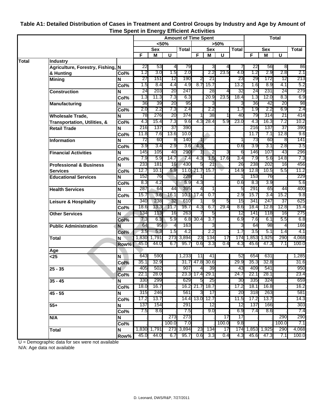|       |                                         |             | - <b>1</b> - - - - - - -<br><b>Amount of Time Spent</b> |             |                |       |            |                |              | <b>Total</b> |       |             |              |       |
|-------|-----------------------------------------|-------------|---------------------------------------------------------|-------------|----------------|-------|------------|----------------|--------------|--------------|-------|-------------|--------------|-------|
|       |                                         |             | $50%$                                                   |             |                | >50%  |            |                |              |              |       |             |              |       |
|       |                                         |             | <b>Sex</b>                                              |             | <b>Total</b>   |       | <b>Sex</b> |                | <b>Total</b> | <b>Sex</b>   |       |             | <b>Total</b> |       |
|       |                                         |             | F                                                       | М           | U              |       | F          | M              | U            |              | F     | M           | U            |       |
| Total | <b>Industry</b>                         |             |                                                         |             |                |       |            |                |              |              |       |             |              |       |
|       | Agriculture, Forestry, Fishing, N       |             | 22                                                      | 53          | 4              | 79    |            | 3              | 4            |              | 22    | 56          | 8            | 86    |
|       | & Hunting                               | Col%        | 1.2                                                     | 3.0         | 1.5            | 2.0   |            | 2.2            | 23.5         | 4.0          | 1.2   | 2.9         | 2.8          | 2.1   |
|       | <b>Mining</b>                           | N           | 27                                                      | 151         | 12             | 190   | 2          | 21             |              | 23           | 29    | 172         | 12           | 213   |
|       |                                         | Col%        | 1.5                                                     | 8.4         | 4.4            | 4.9   | 8.7        | 15.7           |              | 13.2         | 1.6   | 8.9         | 4.1          | 5.2   |
|       | <b>Construction</b>                     | N           | 24                                                      | 203         | 20             | 247   |            | 28             | 4            | 32           | 24    | 231         | 24           | 279   |
|       |                                         | Col%        | 1.3                                                     | 11.3        | 7.3            | 6.3   |            | 20.9           | 23.5         | 18.4         | 1.3   | 12.0        | 8.3          | 6.9   |
|       | <b>Manufacturing</b>                    | N           | 36                                                      | 39          | 20             | 95    |            | 3              |              | 3            | 36    | 42          | 20           | 98    |
|       |                                         | Col%        | 2.0                                                     | 2.2         | 7.3            | 2.4   |            | 2.2            |              | 1.7          | 1.9   | 2.2         | 6.9          | 2.4   |
|       | <b>Wholesale Trade,</b>                 | N           | 78                                                      | 276         | 20             | 374   |            | 38             |              | 40           | 79    | 314         | 21           | 414   |
|       | <b>Transportation, Utilities, &amp;</b> | Col%        | 4.3                                                     | 15.4        | 7.3            | 9.6   | 4.3        | 28.4           | 5.9          | 23.0         | 4.3   | 16.3        | 7.2          | 10.2  |
|       | <b>Retail Trade</b>                     | $\mathbf N$ | 216                                                     | 137         | 37             | 390   |            |                |              |              | 216   | 137         | 37           | 390   |
|       |                                         | Col%        | 11.8                                                    | 7.6         | 13.6           | 10.0  |            |                |              |              | 11.7  | 7.1         | 12.8         | 9.6   |
|       | <b>Information</b>                      | N           | 72                                                      | 60          | 8              | 140   |            |                |              | 1            | 73    | 60          | 8            | 141   |
|       |                                         | Col%        | 3.9                                                     | 3.4         | 2.9            | 3.6   | 4.3        |                |              | 0.6          | 3.9   | 3.1         | 2.8          | 3.5   |
|       | <b>Financial Activities</b>             | N           | 145                                                     | 105         | 40             | 290   |            | Σ              | 3            | 6            | 146   | 107         | 43           | 296   |
|       |                                         | Col%        | 7.9                                                     | 5.9         | 14.7           | 7.4   | 4.3        | 1.5            | 17.6         | 3.4          | 7.9   | 5.6         | 14.8         | 7.3   |
|       | <b>Professional &amp; Business</b>      | N           | 233                                                     | 181         | 16             | 430   | 5          | 21             |              | 26           | 238   | 202         | 16           | 456   |
|       | <b>Services</b>                         | Col%        | 12.7                                                    | 10.1        | 5.9            |       | 11.0 21.7  | 15.7           |              | 14.9         | 12.8  | 10.5        | 5.5          | 11.2  |
|       | <b>Educational Services</b>             | N           | 152                                                     | 76          |                | 228   |            |                |              | 1            | 153   | 76          |              | 229   |
|       |                                         | Col%        | 8.3                                                     | 4.2         |                | 5.9   | 4.3        |                |              | 0.6          | 8.3   | 3.9         |              | 5.6   |
|       | <b>Health Services</b>                  | N           | 287                                                     | 64          | 44             | 395   | 4          |                |              | 5            | 291   | 65          | 44           | 400   |
|       |                                         | Col%        | 15.7                                                    | 3.6         | 16.1           |       | 10.1 17.4  | 0.7            |              | 2.9          | 15.7  | 3.4         | 15.2         | 9.8   |
|       | <b>Leisure &amp; Hospitality</b>        | N           | 340                                                     | 238         | 32             | 610   |            | 9              | G            | 15           | 341   | 247         | 37           | 625   |
|       |                                         | Col%        | 18.6                                                    | 13.3        | 11.7           | 15.7  | 4.3        | 6.7            | 29.4         | 8.6          | 18.4  | 12.8        | 12.8         | 15.4  |
|       | <b>Other Services</b>                   | N           | 134                                                     | 113         | 16             | 263   |            | 5              |              | 12           | 141   | 118         | 16           | 275   |
|       |                                         | Col%        | 7.3                                                     | 6.3         | 5.9            | 6.8   | 30.4       | 3.7            |              | 6.9          | 7.6   | 6.1         | 5.5          | 6.8   |
|       | <b>Public Administration</b>            | N           | 64                                                      | 95          | $\overline{4}$ | 163   |            | 3              |              | 3            | 64    | 98          | 4            | 166   |
|       |                                         | Col%        | 3.5                                                     | 5.3         | 1.5            | 4.2   |            | 2.2            |              | 1.7          | 3.5   | 5.1         | 1.4          | 4.1   |
|       | Total                                   | N           | 1,830                                                   | 1,791       | 273            | 3,894 | 23         | 134            | 17           | 174          | 1,853 | 1,925       | 290          | 4,068 |
|       |                                         | Row%        | 45.0                                                    | 44.0        | 6.7            | 95.7  | 0.6        | 3.3            | 0.4          | 4.3          | 45.6  | 47.3        | 7.1          | 100.0 |
|       | Age                                     |             |                                                         |             |                |       |            |                |              |              |       |             |              |       |
|       | $25$                                    | N           | 643                                                     | 590         |                | 1,233 | 11         | 41             |              | 52           | 654   | 631         |              | 1,285 |
|       |                                         | Col%        | 35.1                                                    | 32.9        |                | 31.7  |            | 47.8 30.6      |              | 29.9         | 35.3  | 32.8        |              | 31.6  |
|       | $25 - 35$                               | N           | 405                                                     | 502         |                | 907   | 4          | 39             |              | 43           | 409   | 541         |              | 950   |
|       |                                         | Col%        | 22.1                                                    | 28.0        |                |       |            | 23.3 17.4 29.1 |              | 24.7         | 22.1  | 28.1        |              | 23.4  |
|       | $35 - 45$                               | N           | 330                                                     | 299         |                | 629   | 5          | 25             |              | 30           | 335   | 324         |              | 659   |
|       |                                         | Col%        | 18.0                                                    | 16.7        |                | 16.2  | 21.7       | 18.7           |              | 17.2         | 18.1  | 16.8        |              | 16.2  |
|       | $45 - 55$                               | N           | 315                                                     | 246         |                | 561   | 3          | 17             |              | 20           | 318   | 263         |              | 581   |
|       |                                         | Col%        | 17.2                                                    | 13.7        |                | 14.4  |            | 13.0 12.7      |              | 11.5         | 17.2  | 13.7        |              | 14.3  |
|       | $55+$                                   | $\mathbf N$ | 137                                                     | 154         |                | 291   |            | 12             |              | 12           | 137   | 166         |              | 303   |
|       |                                         | Col%        | 7.5                                                     | 8.6         |                | 7.5   |            | 9.0            |              | 6.9          | 7.4   | 8.6         |              | 7.4   |
|       |                                         | N           |                                                         |             | 273            | 273   |            |                | 17           | 17           |       |             | 290          | 290   |
|       | N/A                                     | Col%        |                                                         |             | 100.0          | 7.0   |            |                | 100.0        | 9.8          |       |             | 100.0        | 7.1   |
|       |                                         |             |                                                         | 1,830 1,791 | 273            | 3,894 | 23         | 134            | 17           | 174          |       | 1,853 1,925 | 290          | 4,068 |
|       | <b>Total</b>                            | N           | 45.0                                                    | 44.0        | 6.7            | 95.7  | 0.6        | 3.3            | 0.4          | 4.3          | 45.6  | 47.3        | 7.1          | 100.0 |
|       |                                         | Row%        |                                                         |             |                |       |            |                |              |              |       |             |              |       |

### **Table A1: Detailed Distribution of Cases in Treatment and Control Groups by Industry and Age by Amount of Time Spent in Energy Efficient Activities**

U = Demographic data for sex were not available

N/A: Age data not available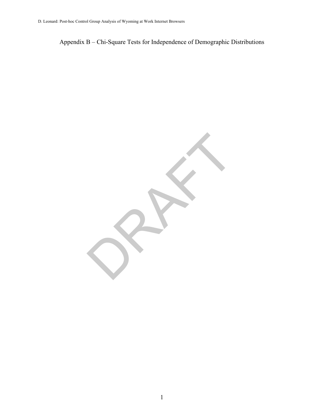Appendix B – Chi-Square Tests for Independence of Demographic Distributions

RAFT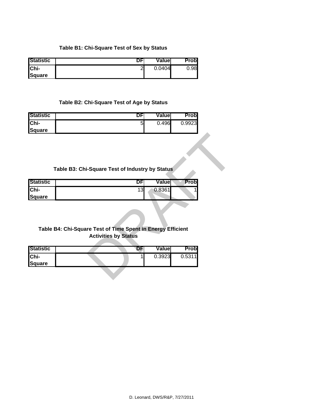#### **Table B1: Chi-Square Test of Sex by Status**

| <b>Statistic</b> | יש     | Valuel | Probl |
|------------------|--------|--------|-------|
| <b>IChi-</b>     | ി<br>∠ | 0.0404 | 0.98  |
| <b>Square</b>    |        |        |       |

#### **Table B2: Chi-Square Test of Age by Status**

| <b>Statistic</b> | υF | Valuel | Probl  |
|------------------|----|--------|--------|
| $ Chi-$          | 5  | 0.496  | 0.9923 |
| <b>Square</b>    |    |        |        |

## **Table B3: Chi-Square Test of Industry by Status**

| <b>IStatistic</b> | יש | Valuel | Probl |
|-------------------|----|--------|-------|
| <b>Chi-</b>       | 13 | 0.8361 |       |
| Square            |    |        |       |

## **Table B4: Chi-Square Test of Time Spent in Energy Efficient Activities by Status**

|                  | Table B3: Chi-Square Test of Industry by Status             |        |             |  |
|------------------|-------------------------------------------------------------|--------|-------------|--|
| <b>Statistic</b> | DFI                                                         | Value  | <b>Prob</b> |  |
| Chi-             | 13                                                          | 0.8361 |             |  |
| <b>Square</b>    |                                                             |        |             |  |
|                  |                                                             |        |             |  |
|                  |                                                             |        |             |  |
|                  |                                                             |        |             |  |
|                  | Table B4: Chi-Square Test of Time Spent in Energy Efficient |        |             |  |
|                  | <b>Activities by Status</b>                                 |        |             |  |
| <b>Statistic</b> | DF                                                          | Value  | <b>Prob</b> |  |
| Chi-             |                                                             | 0.3923 |             |  |
| Square           |                                                             |        | 0.5311      |  |
|                  |                                                             |        |             |  |
|                  |                                                             |        |             |  |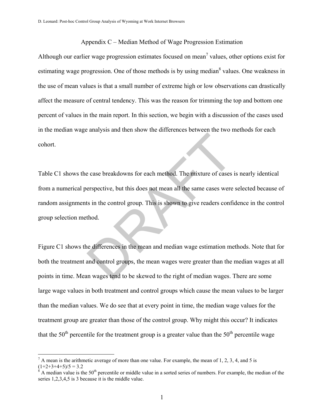#### Appendix C – Median Method of Wage Progression Estimation

Although our earlier wage progression estimates focused on mean<sup>7</sup> values, other options exist for estimating wage progression. One of those methods is by using median<sup>8</sup> values. One weakness in the use of mean values is that a small number of extreme high or low observations can drastically affect the measure of central tendency. This was the reason for trimming the top and bottom one percent of values in the main report. In this section, we begin with a discussion of the cases used in the median wage analysis and then show the differences between the two methods for each cohort.

Table C1 shows the case breakdowns for each method. The mixture of cases is nearly identical from a numerical perspective, but this does not mean all the same cases were selected because of random assignments in the control group. This is shown to give readers confidence in the control group selection method. Example 15 and the same cases between the same cases are spective, but this does not mean all the same cases were<br>the sin the control group. This is shown to give readers confit<br>thod.<br>the differences in the mean and median

Figure C1 shows the differences in the mean and median wage estimation methods. Note that for both the treatment and control groups, the mean wages were greater than the median wages at all points in time. Mean wages tend to be skewed to the right of median wages. There are some large wage values in both treatment and control groups which cause the mean values to be larger than the median values. We do see that at every point in time, the median wage values for the treatment group are greater than those of the control group. Why might this occur? It indicates that the  $50<sup>th</sup>$  percentile for the treatment group is a greater value than the  $50<sup>th</sup>$  percentile wage

 $\overline{a}$ 

 $<sup>7</sup>$  A mean is the arithmetic average of more than one value. For example, the mean of 1, 2, 3, 4, and 5 is</sup>  $(1+2+3+4+5)/5 = 3.2$ <br><sup>8</sup> A median value is the 50<sup>th</sup> percentile or middle value in a sorted series of numbers. For example, the median of the

series 1,2,3,4,5 is 3 because it is the middle value.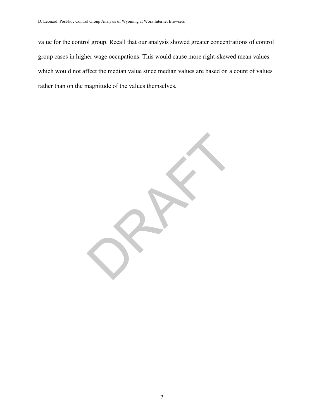value for the control group. Recall that our analysis showed greater concentrations of control group cases in higher wage occupations. This would cause more right-skewed mean values which would not affect the median value since median values are based on a count of values rather than on the magnitude of the values themselves.

RAFT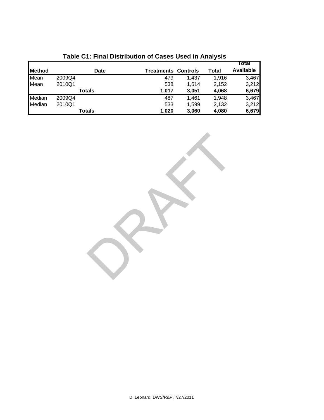|               |        |        |                            |       |       | Total            |
|---------------|--------|--------|----------------------------|-------|-------|------------------|
| <b>Method</b> |        | Date   | <b>Treatments Controls</b> |       | Total | <b>Available</b> |
| Mean          | 2009Q4 |        | 479                        | 1,437 | 1.916 | 3,467            |
| Mean          | 2010Q1 |        | 538                        | 1.614 | 2,152 | 3,212            |
|               |        | Totals | 1,017                      | 3,051 | 4,068 | 6,679            |
| Median        | 2009Q4 |        | 487                        | 1.461 | 1.948 | 3,467            |
| Median        | 2010Q1 |        | 533                        | 1,599 | 2,132 | 3,212            |
|               |        | Totals | 1,020                      | 3,060 | 4,080 | 6,679            |

# **Table C1: Final Distribution of Cases Used in Analysis**

RAFT